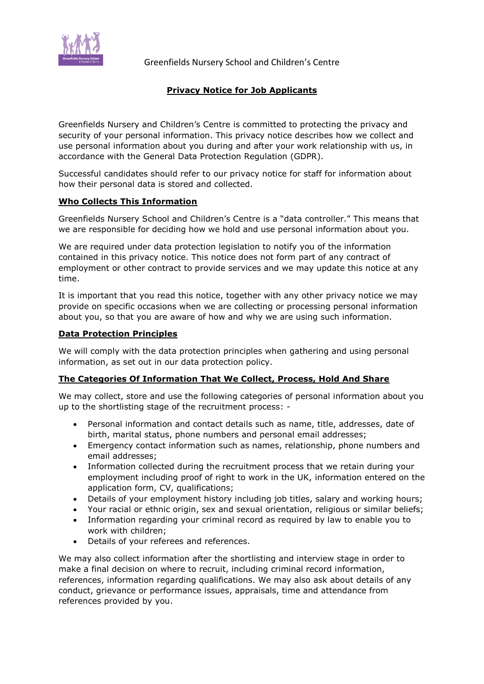

Greenfields Nursery School and Children's Centre

# **Privacy Notice for Job Applicants**

Greenfields Nursery and Children's Centre is committed to protecting the privacy and security of your personal information. This privacy notice describes how we collect and use personal information about you during and after your work relationship with us, in accordance with the General Data Protection Regulation (GDPR).

Successful candidates should refer to our privacy notice for staff for information about how their personal data is stored and collected.

### **Who Collects This Information**

Greenfields Nursery School and Children's Centre is a "data controller." This means that we are responsible for deciding how we hold and use personal information about you.

We are required under data protection legislation to notify you of the information contained in this privacy notice. This notice does not form part of any contract of employment or other contract to provide services and we may update this notice at any time.

It is important that you read this notice, together with any other privacy notice we may provide on specific occasions when we are collecting or processing personal information about you, so that you are aware of how and why we are using such information.

### **Data Protection Principles**

We will comply with the data protection principles when gathering and using personal information, as set out in our data protection policy.

### **The Categories Of Information That We Collect, Process, Hold And Share**

We may collect, store and use the following categories of personal information about you up to the shortlisting stage of the recruitment process: -

- Personal information and contact details such as name, title, addresses, date of birth, marital status, phone numbers and personal email addresses;
- Emergency contact information such as names, relationship, phone numbers and email addresses;
- Information collected during the recruitment process that we retain during your employment including proof of right to work in the UK, information entered on the application form, CV, qualifications;
- Details of your employment history including job titles, salary and working hours;
- Your racial or ethnic origin, sex and sexual orientation, religious or similar beliefs;
- Information regarding your criminal record as required by law to enable you to work with children;
- Details of your referees and references.

We may also collect information after the shortlisting and interview stage in order to make a final decision on where to recruit, including criminal record information, references, information regarding qualifications. We may also ask about details of any conduct, grievance or performance issues, appraisals, time and attendance from references provided by you.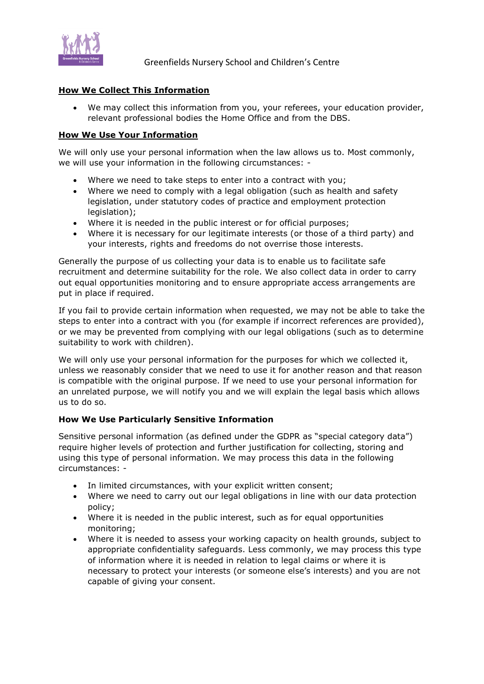

Greenfields Nursery School and Children's Centre

### **How We Collect This Information**

 We may collect this information from you, your referees, your education provider, relevant professional bodies the Home Office and from the DBS.

### **How We Use Your Information**

We will only use your personal information when the law allows us to. Most commonly, we will use your information in the following circumstances: -

- Where we need to take steps to enter into a contract with you;
- Where we need to comply with a legal obligation (such as health and safety legislation, under statutory codes of practice and employment protection legislation);
- Where it is needed in the public interest or for official purposes;
- Where it is necessary for our legitimate interests (or those of a third party) and your interests, rights and freedoms do not overrise those interests.

Generally the purpose of us collecting your data is to enable us to facilitate safe recruitment and determine suitability for the role. We also collect data in order to carry out equal opportunities monitoring and to ensure appropriate access arrangements are put in place if required.

If you fail to provide certain information when requested, we may not be able to take the steps to enter into a contract with you (for example if incorrect references are provided), or we may be prevented from complying with our legal obligations (such as to determine suitability to work with children).

We will only use your personal information for the purposes for which we collected it, unless we reasonably consider that we need to use it for another reason and that reason is compatible with the original purpose. If we need to use your personal information for an unrelated purpose, we will notify you and we will explain the legal basis which allows us to do so.

### **How We Use Particularly Sensitive Information**

Sensitive personal information (as defined under the GDPR as "special category data") require higher levels of protection and further justification for collecting, storing and using this type of personal information. We may process this data in the following circumstances: -

- In limited circumstances, with your explicit written consent;
- Where we need to carry out our legal obligations in line with our data protection policy;
- Where it is needed in the public interest, such as for equal opportunities monitoring;
- Where it is needed to assess your working capacity on health grounds, subject to appropriate confidentiality safeguards. Less commonly, we may process this type of information where it is needed in relation to legal claims or where it is necessary to protect your interests (or someone else's interests) and you are not capable of giving your consent.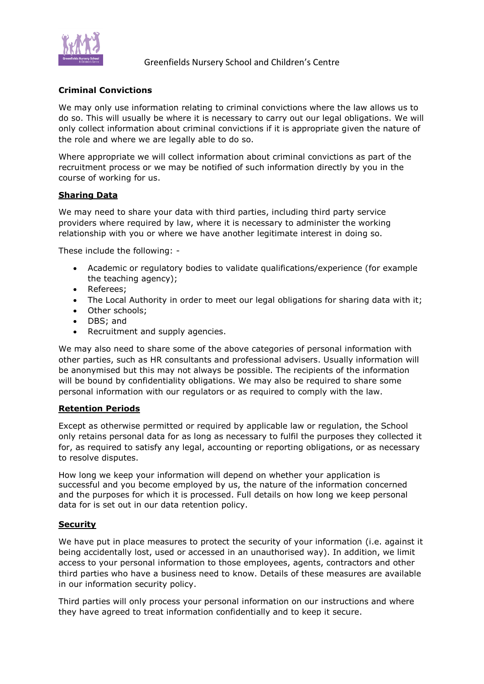

## **Criminal Convictions**

We may only use information relating to criminal convictions where the law allows us to do so. This will usually be where it is necessary to carry out our legal obligations. We will only collect information about criminal convictions if it is appropriate given the nature of the role and where we are legally able to do so.

Where appropriate we will collect information about criminal convictions as part of the recruitment process or we may be notified of such information directly by you in the course of working for us.

### **Sharing Data**

We may need to share your data with third parties, including third party service providers where required by law, where it is necessary to administer the working relationship with you or where we have another legitimate interest in doing so.

These include the following: -

- Academic or regulatory bodies to validate qualifications/experience (for example the teaching agency);
- Referees:
- The Local Authority in order to meet our legal obligations for sharing data with it;
- Other schools:
- DBS; and
- Recruitment and supply agencies.

We may also need to share some of the above categories of personal information with other parties, such as HR consultants and professional advisers. Usually information will be anonymised but this may not always be possible. The recipients of the information will be bound by confidentiality obligations. We may also be required to share some personal information with our regulators or as required to comply with the law.

#### **Retention Periods**

Except as otherwise permitted or required by applicable law or regulation, the School only retains personal data for as long as necessary to fulfil the purposes they collected it for, as required to satisfy any legal, accounting or reporting obligations, or as necessary to resolve disputes.

How long we keep your information will depend on whether your application is successful and you become employed by us, the nature of the information concerned and the purposes for which it is processed. Full details on how long we keep personal data for is set out in our data retention policy.

#### **Security**

We have put in place measures to protect the security of your information (i.e. against it being accidentally lost, used or accessed in an unauthorised way). In addition, we limit access to your personal information to those employees, agents, contractors and other third parties who have a business need to know. Details of these measures are available in our information security policy.

Third parties will only process your personal information on our instructions and where they have agreed to treat information confidentially and to keep it secure.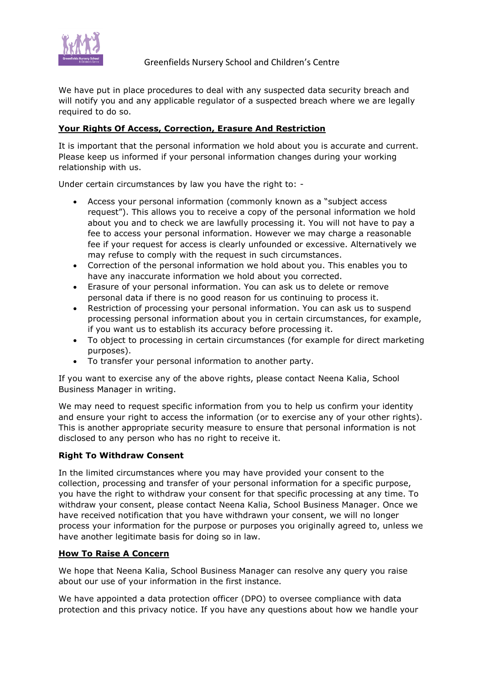

We have put in place procedures to deal with any suspected data security breach and will notify you and any applicable regulator of a suspected breach where we are legally required to do so.

# **Your Rights Of Access, Correction, Erasure And Restriction**

It is important that the personal information we hold about you is accurate and current. Please keep us informed if your personal information changes during your working relationship with us.

Under certain circumstances by law you have the right to: -

- Access your personal information (commonly known as a "subject access request"). This allows you to receive a copy of the personal information we hold about you and to check we are lawfully processing it. You will not have to pay a fee to access your personal information. However we may charge a reasonable fee if your request for access is clearly unfounded or excessive. Alternatively we may refuse to comply with the request in such circumstances.
- Correction of the personal information we hold about you. This enables you to have any inaccurate information we hold about you corrected.
- Erasure of your personal information. You can ask us to delete or remove personal data if there is no good reason for us continuing to process it.
- Restriction of processing your personal information. You can ask us to suspend processing personal information about you in certain circumstances, for example, if you want us to establish its accuracy before processing it.
- To object to processing in certain circumstances (for example for direct marketing purposes).
- To transfer your personal information to another party.

If you want to exercise any of the above rights, please contact Neena Kalia, School Business Manager in writing.

We may need to request specific information from you to help us confirm your identity and ensure your right to access the information (or to exercise any of your other rights). This is another appropriate security measure to ensure that personal information is not disclosed to any person who has no right to receive it.

# **Right To Withdraw Consent**

In the limited circumstances where you may have provided your consent to the collection, processing and transfer of your personal information for a specific purpose, you have the right to withdraw your consent for that specific processing at any time. To withdraw your consent, please contact Neena Kalia, School Business Manager. Once we have received notification that you have withdrawn your consent, we will no longer process your information for the purpose or purposes you originally agreed to, unless we have another legitimate basis for doing so in law.

### **How To Raise A Concern**

We hope that Neena Kalia, School Business Manager can resolve any query you raise about our use of your information in the first instance.

We have appointed a data protection officer (DPO) to oversee compliance with data protection and this privacy notice. If you have any questions about how we handle your